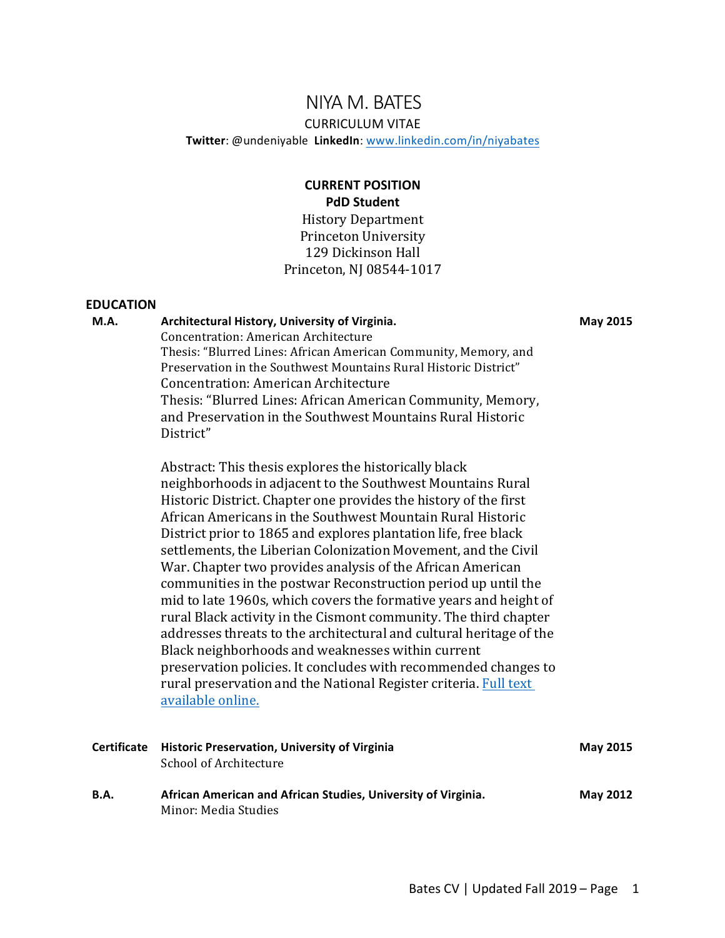# NIYA M. BATES

#### CURRICULUM VITAE

**Twitter**: @undeniyable **LinkedIn**: www.linkedin.com/in/niyabates

# **CURRENT POSITION PdD Student** History Department

Princeton University 129 Dickinson Hall Princeton, NJ 08544-1017

#### **EDUCATION**

#### **M.A. Architectural History, University of Virginia.**

**May 2015**

Concentration: American Architecture Thesis: "Blurred Lines: African American Community, Memory, and Preservation in the Southwest Mountains Rural Historic District" Concentration: American Architecture Thesis: "Blurred Lines: African American Community, Memory, and Preservation in the Southwest Mountains Rural Historic District" 

Abstract: This thesis explores the historically black neighborhoods in adjacent to the Southwest Mountains Rural Historic District. Chapter one provides the history of the first African Americans in the Southwest Mountain Rural Historic District prior to 1865 and explores plantation life, free black settlements, the Liberian Colonization Movement, and the Civil War. Chapter two provides analysis of the African American communities in the postwar Reconstruction period up until the mid to late 1960s, which covers the formative years and height of rural Black activity in the Cismont community. The third chapter addresses threats to the architectural and cultural heritage of the Black neighborhoods and weaknesses within current preservation policies. It concludes with recommended changes to rural preservation and the National Register criteria. Full text available online.

| <b>Certificate</b> | <b>Historic Preservation, University of Virginia</b><br>School of Architecture        | <b>May 2015</b> |
|--------------------|---------------------------------------------------------------------------------------|-----------------|
| <b>B.A.</b>        | African American and African Studies, University of Virginia.<br>Minor: Media Studies | <b>May 2012</b> |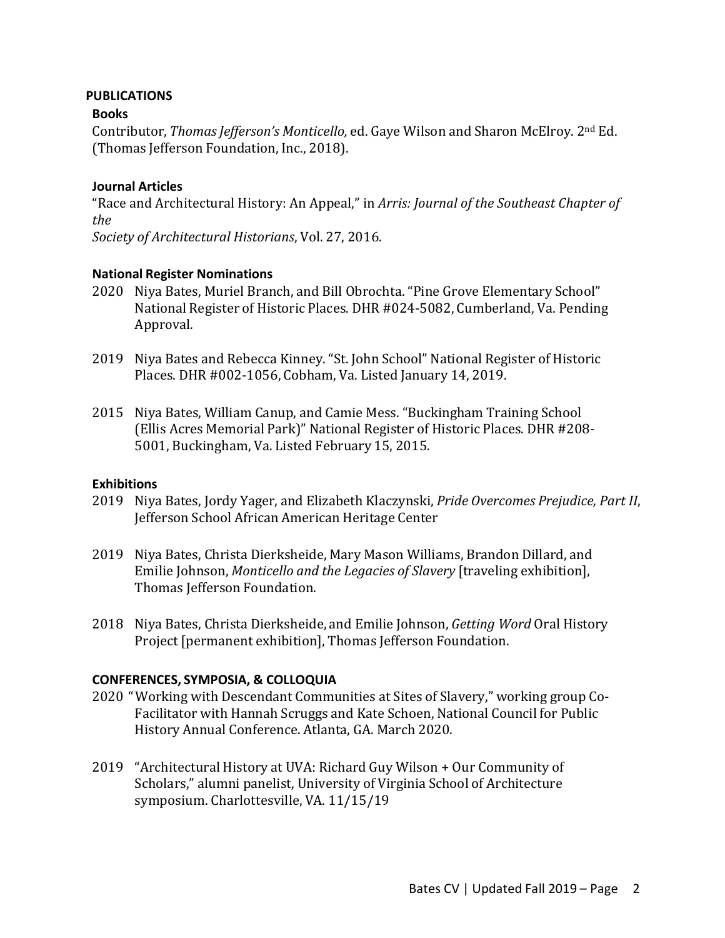### **PUBLICATIONS**

## **Books**

Contributor, *Thomas Jefferson's Monticello*, ed. Gaye Wilson and Sharon McElroy. 2<sup>nd</sup> Ed. (Thomas Jefferson Foundation, Inc., 2018).

## **Journal Articles**

"Race and Architectural History: An Appeal," in *Arris: Journal of the Southeast Chapter of the* 

*Society of Architectural Historians*, Vol. 27, 2016.

### **National Register Nominations**

- 2020 Niya Bates, Muriel Branch, and Bill Obrochta. "Pine Grove Elementary School" National Register of Historic Places. DHR #024-5082, Cumberland, Va. Pending Approval*.*
- 2019 Niya Bates and Rebecca Kinney. "St. John School" National Register of Historic Places. DHR #002-1056, Cobham, Va. Listed January 14, 2019.
- 2015 Niya Bates, William Canup, and Camie Mess. "Buckingham Training School (Ellis Acres Memorial Park)" National Register of Historic Places. DHR #208-5001, Buckingham, Va. Listed February 15, 2015.

### **Exhibitions**

- 2019 Niya Bates, Jordy Yager, and Elizabeth Klaczynski, *Pride Overcomes Prejudice, Part II*, Jefferson School African American Heritage Center
- 2019 Niya Bates, Christa Dierksheide, Mary Mason Williams, Brandon Dillard, and Emilie Johnson, *Monticello and the Legacies of Slavery* [traveling exhibition], Thomas Iefferson Foundation.
- 2018 Niya Bates, Christa Dierksheide, and Emilie Johnson, *Getting Word* Oral History Project [permanent exhibition], Thomas Jefferson Foundation.

### **CONFERENCES, SYMPOSIA, & COLLOQUIA**

- 2020 "Working with Descendant Communities at Sites of Slavery," working group Co-Facilitator with Hannah Scruggs and Kate Schoen, National Council for Public History Annual Conference. Atlanta, GA. March 2020.
- 2019 "Architectural History at UVA: Richard Guy Wilson + Our Community of Scholars," alumni panelist, University of Virginia School of Architecture symposium. Charlottesville, VA. 11/15/19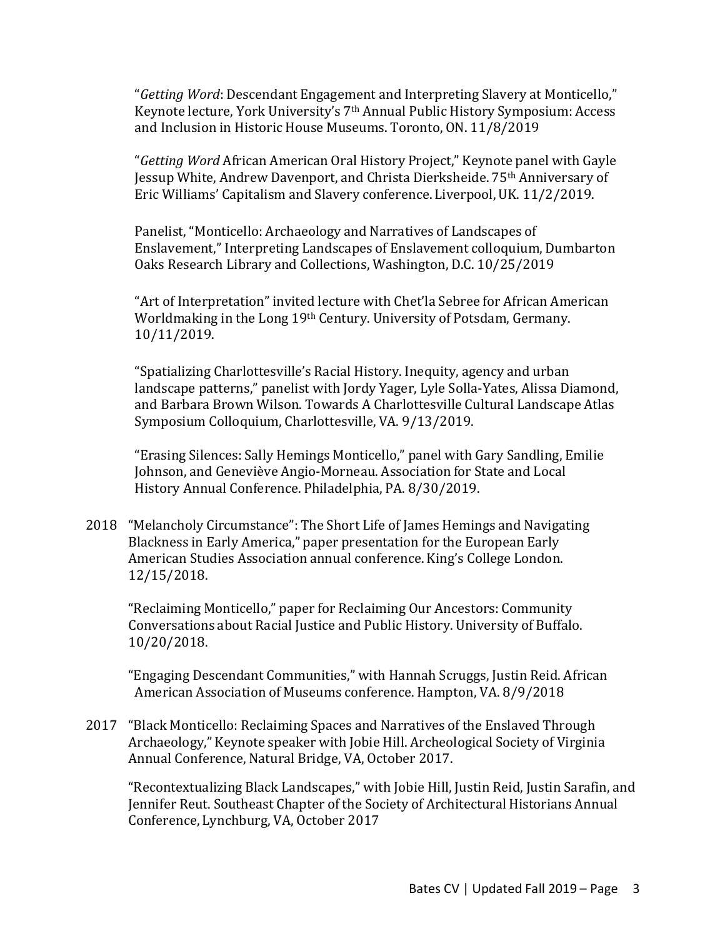"Getting Word: Descendant Engagement and Interpreting Slavery at Monticello," Keynote lecture, York University's 7<sup>th</sup> Annual Public History Symposium: Access and Inclusion in Historic House Museums. Toronto, ON. 11/8/2019

"*Getting Word* African American Oral History Project," Keynote panel with Gayle Jessup White, Andrew Davenport, and Christa Dierksheide. 75th Anniversary of Eric Williams' Capitalism and Slavery conference. Liverpool, UK. 11/2/2019.

Panelist, "Monticello: Archaeology and Narratives of Landscapes of Enslavement," Interpreting Landscapes of Enslavement colloquium, Dumbarton Oaks Research Library and Collections, Washington, D.C. 10/25/2019

"Art of Interpretation" invited lecture with Chet'la Sebree for African American Worldmaking in the Long 19th Century. University of Potsdam, Germany. 10/11/2019.

"Spatializing Charlottesville's Racial History. Inequity, agency and urban landscape patterns," panelist with Jordy Yager, Lyle Solla-Yates, Alissa Diamond, and Barbara Brown Wilson. Towards A Charlottesville Cultural Landscape Atlas Symposium Colloquium, Charlottesville, VA. 9/13/2019.

"Erasing Silences: Sally Hemings Monticello," panel with Gary Sandling, Emilie Johnson, and Geneviève Angio-Morneau. Association for State and Local History Annual Conference. Philadelphia, PA. 8/30/2019.

2018 "Melancholy Circumstance": The Short Life of James Hemings and Navigating Blackness in Early America," paper presentation for the European Early American Studies Association annual conference. King's College London. 12/15/2018.

"Reclaiming Monticello," paper for Reclaiming Our Ancestors: Community Conversations about Racial Justice and Public History. University of Buffalo. 10/20/2018.

"Engaging Descendant Communities," with Hannah Scruggs, Justin Reid. African American Association of Museums conference. Hampton, VA. 8/9/2018

2017 "Black Monticello: Reclaiming Spaces and Narratives of the Enslaved Through Archaeology," Keynote speaker with Jobie Hill. Archeological Society of Virginia Annual Conference, Natural Bridge, VA, October 2017.

"Recontextualizing Black Landscapes," with Jobie Hill, Justin Reid, Justin Sarafin, and Jennifer Reut. Southeast Chapter of the Society of Architectural Historians Annual Conference, Lynchburg, VA, October 2017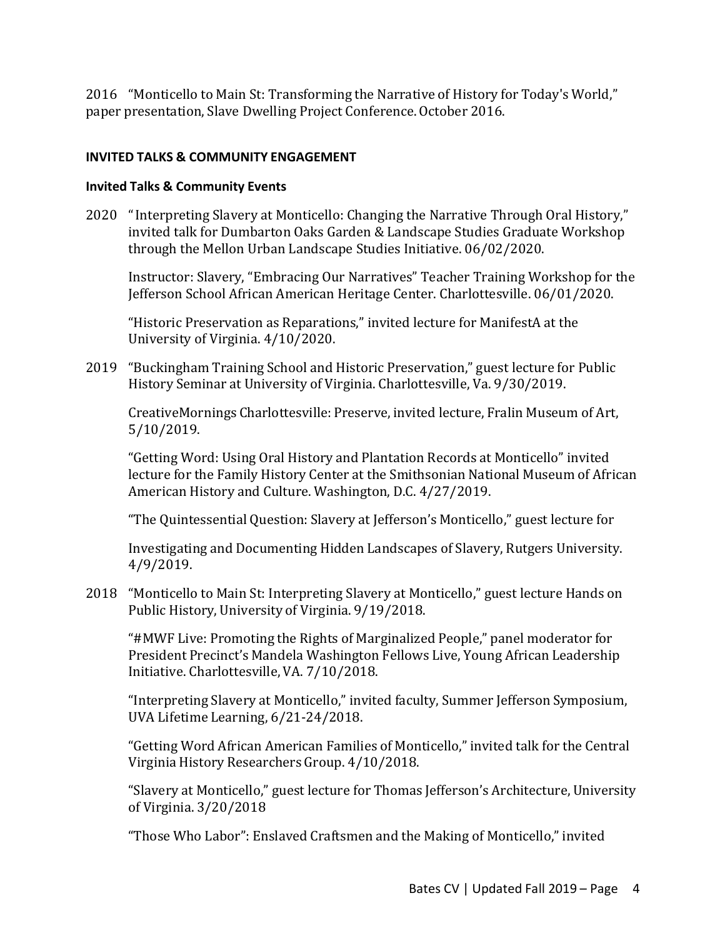2016 "Monticello to Main St: Transforming the Narrative of History for Today's World," paper presentation, Slave Dwelling Project Conference. October 2016.

# **INVITED TALKS & COMMUNITY ENGAGEMENT**

# **Invited Talks & Community Events**

2020 "Interpreting Slavery at Monticello: Changing the Narrative Through Oral History," invited talk for Dumbarton Oaks Garden & Landscape Studies Graduate Workshop through the Mellon Urban Landscape Studies Initiative. 06/02/2020.

Instructor: Slavery, "Embracing Our Narratives" Teacher Training Workshop for the Jefferson School African American Heritage Center. Charlottesville. 06/01/2020.

"Historic Preservation as Reparations," invited lecture for ManifestA at the University of Virginia.  $4/10/2020$ .

2019 "Buckingham Training School and Historic Preservation," guest lecture for Public History Seminar at University of Virginia. Charlottesville, Va. 9/30/2019.

CreativeMornings Charlottesville: Preserve, invited lecture, Fralin Museum of Art, 5/10/2019.

"Getting Word: Using Oral History and Plantation Records at Monticello" invited lecture for the Family History Center at the Smithsonian National Museum of African American History and Culture. Washington, D.C. 4/27/2019.

"The Quintessential Question: Slavery at Jefferson's Monticello," guest lecture for

Investigating and Documenting Hidden Landscapes of Slavery, Rutgers University. 4/9/2019.

2018 "Monticello to Main St: Interpreting Slavery at Monticello," guest lecture Hands on Public History, University of Virginia. 9/19/2018.

"#MWF Live: Promoting the Rights of Marginalized People," panel moderator for President Precinct's Mandela Washington Fellows Live, Young African Leadership Initiative. Charlottesville, VA. 7/10/2018.

"Interpreting Slavery at Monticello," invited faculty, Summer Jefferson Symposium, UVA Lifetime Learning, 6/21-24/2018.

"Getting Word African American Families of Monticello," invited talk for the Central Virginia History Researchers Group. 4/10/2018.

"Slavery at Monticello," guest lecture for Thomas Jefferson's Architecture, University of Virginia. 3/20/2018

"Those Who Labor": Enslaved Craftsmen and the Making of Monticello," invited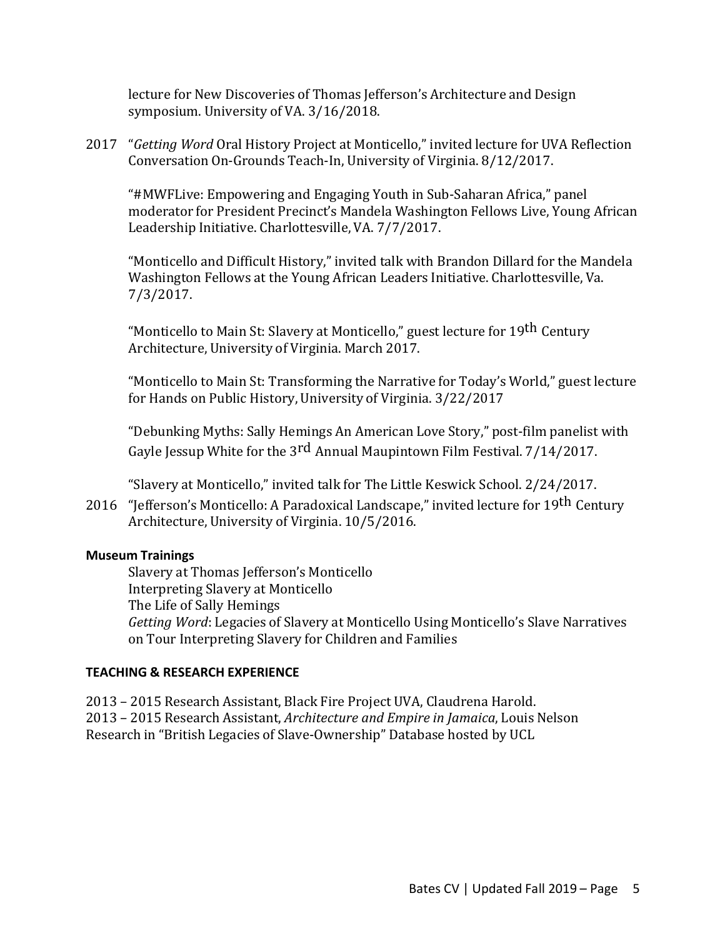lecture for New Discoveries of Thomas Jefferson's Architecture and Design symposium. University of VA. 3/16/2018.

2017 *"Getting Word* Oral History Project at Monticello," invited lecture for UVA Reflection Conversation On-Grounds Teach-In, University of Virginia. 8/12/2017.

"#MWFLive: Empowering and Engaging Youth in Sub-Saharan Africa," panel moderator for President Precinct's Mandela Washington Fellows Live, Young African Leadership Initiative. Charlottesville, VA. 7/7/2017.

"Monticello and Difficult History," invited talk with Brandon Dillard for the Mandela Washington Fellows at the Young African Leaders Initiative. Charlottesville, Va. 7/3/2017.

"Monticello to Main St: Slavery at Monticello," guest lecture for 19<sup>th</sup> Century Architecture, University of Virginia. March 2017.

"Monticello to Main St: Transforming the Narrative for Today's World," guest lecture for Hands on Public History, University of Virginia. 3/22/2017

"Debunking Myths: Sally Hemings An American Love Story," post-film panelist with Gayle Jessup White for the 3rd Annual Maupintown Film Festival.  $7/14/2017$ .

"Slavery at Monticello," invited talk for The Little Keswick School. 2/24/2017.

2016 "Jefferson's Monticello: A Paradoxical Landscape," invited lecture for 19<sup>th</sup> Century Architecture, University of Virginia. 10/5/2016.

### **Museum Trainings**

Slavery at Thomas Jefferson's Monticello Interpreting Slavery at Monticello The Life of Sally Hemings *Getting Word*: Legacies of Slavery at Monticello Using Monticello's Slave Narratives on Tour Interpreting Slavery for Children and Families

### **TEACHING & RESEARCH EXPERIENCE**

2013 – 2015 Research Assistant, Black Fire Project UVA, Claudrena Harold. 2013 – 2015 Research Assistant, *Architecture and Empire in Jamaica*, Louis Nelson Research in "British Legacies of Slave-Ownership" Database hosted by UCL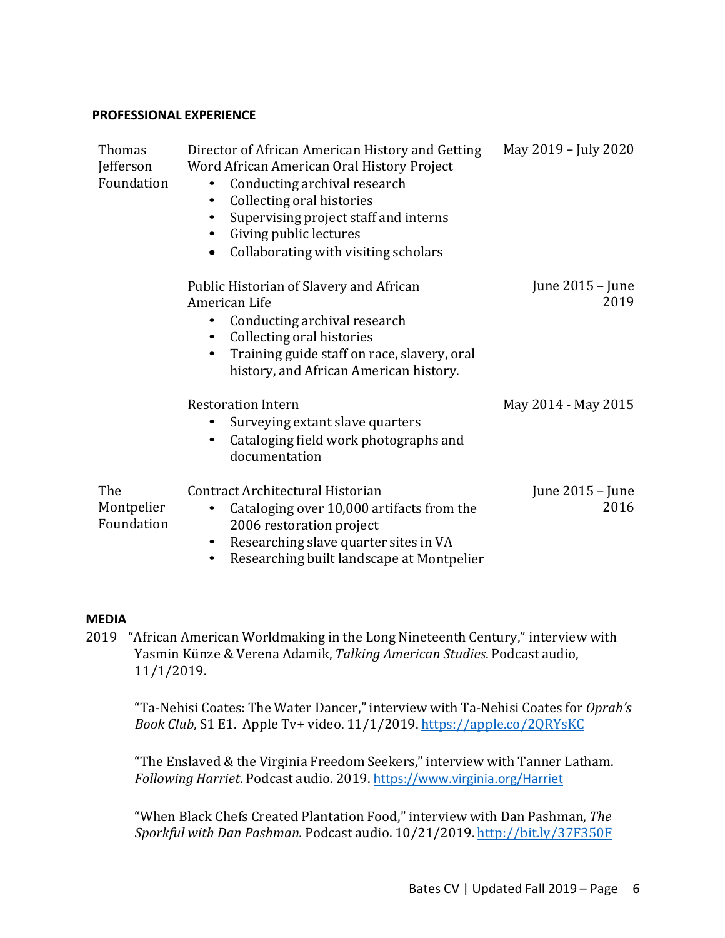### **PROFESSIONAL EXPERIENCE**

| <b>Thomas</b><br>Jefferson<br>Foundation | Director of African American History and Getting<br>Word African American Oral History Project<br>Conducting archival research<br>$\bullet$<br>Collecting oral histories<br>٠<br>Supervising project staff and interns<br>Giving public lectures<br>$\bullet$<br>Collaborating with visiting scholars<br>$\bullet$ | May 2019 - July 2020       |
|------------------------------------------|--------------------------------------------------------------------------------------------------------------------------------------------------------------------------------------------------------------------------------------------------------------------------------------------------------------------|----------------------------|
|                                          | Public Historian of Slavery and African<br>American Life<br>Conducting archival research<br>$\bullet$<br>Collecting oral histories<br>$\bullet$<br>Training guide staff on race, slavery, oral<br>history, and African American history.                                                                           | June $2015 -$ June<br>2019 |
|                                          | <b>Restoration Intern</b><br>Surveying extant slave quarters<br>$\bullet$<br>Cataloging field work photographs and<br>٠<br>documentation                                                                                                                                                                           | May 2014 - May 2015        |
| The<br>Montpelier<br>Foundation          | Contract Architectural Historian<br>Cataloging over 10,000 artifacts from the<br>$\bullet$<br>2006 restoration project<br>Researching slave quarter sites in VA<br>٠<br>Researching built landscape at Montpelier                                                                                                  | June 2015 - June<br>2016   |

### **MEDIA**

2019 "African American Worldmaking in the Long Nineteenth Century," interview with Yasmin Künze & Verena Adamik, *Talking American Studies*. Podcast audio, 11/1/2019.

"Ta-Nehisi Coates: The Water Dancer,"interview with Ta-Nehisi Coates for *Oprah's Book Club*, S1 E1. Apple Tv+ video. 11/1/2019. https://apple.co/2QRYsKC

"The Enslaved & the Virginia Freedom Seekers," interview with Tanner Latham. *Following Harriet*. Podcast audio. 2019. https://www.virginia.org/Harriet

"When Black Chefs Created Plantation Food," interview with Dan Pashman, *The Sporkful with Dan Pashman.* Podcast audio. 10/21/2019. http://bit.ly/37F350F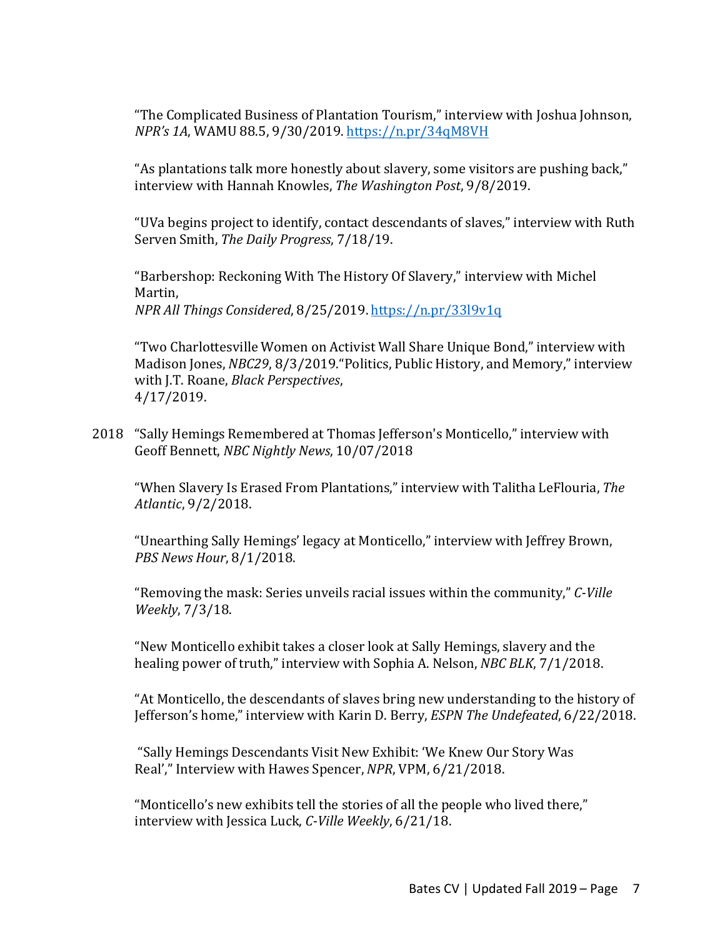"The Complicated Business of Plantation Tourism," interview with Joshua Johnson, *NPR's 1A*, WAMU 88.5, 9/30/2019. https://n.pr/34qM8VH

"As plantations talk more honestly about slavery, some visitors are pushing back," interview with Hannah Knowles, *The Washington Post*, 9/8/2019.

"UVa begins project to identify, contact descendants of slaves," interview with Ruth Serven Smith, *The Daily Progress*, 7/18/19.

"Barbershop: Reckoning With The History Of Slavery," interview with Michel Martin, *NPR All Things Considered*, 8/25/2019. https://n.pr/33l9v1q

"Two Charlottesville Women on Activist Wall Share Unique Bond," interview with Madison Jones, *NBC29*, 8/3/2019. "Politics, Public History, and Memory," interview with J.T. Roane, *Black Perspectives*, 4/17/2019.

2018 "Sally Hemings Remembered at Thomas Jefferson's Monticello," interview with Geoff Bennett, *NBC Nightly News*, 10/07/2018

"When Slavery Is Erased From Plantations," interview with Talitha LeFlouria, *The Atlantic*, 9/2/2018.

"Unearthing Sally Hemings' legacy at Monticello," interview with Jeffrey Brown, *PBS News Hour*, 8/1/2018.

"Removing the mask: Series unveils racial issues within the community," *C-Ville Weekly*, 7/3/18.

"New Monticello exhibit takes a closer look at Sally Hemings, slavery and the healing power of truth," interview with Sophia A. Nelson, *NBC BLK*, 7/1/2018.

"At Monticello, the descendants of slaves bring new understanding to the history of Jefferson's home," interview with Karin D. Berry, *ESPN The Undefeated*, 6/22/2018.

"Sally Hemings Descendants Visit New Exhibit: 'We Knew Our Story Was Real'," Interview with Hawes Spencer, *NPR*, VPM, 6/21/2018.

"Monticello's new exhibits tell the stories of all the people who lived there," interview with Jessica Luck, *C-Ville Weekly*, 6/21/18.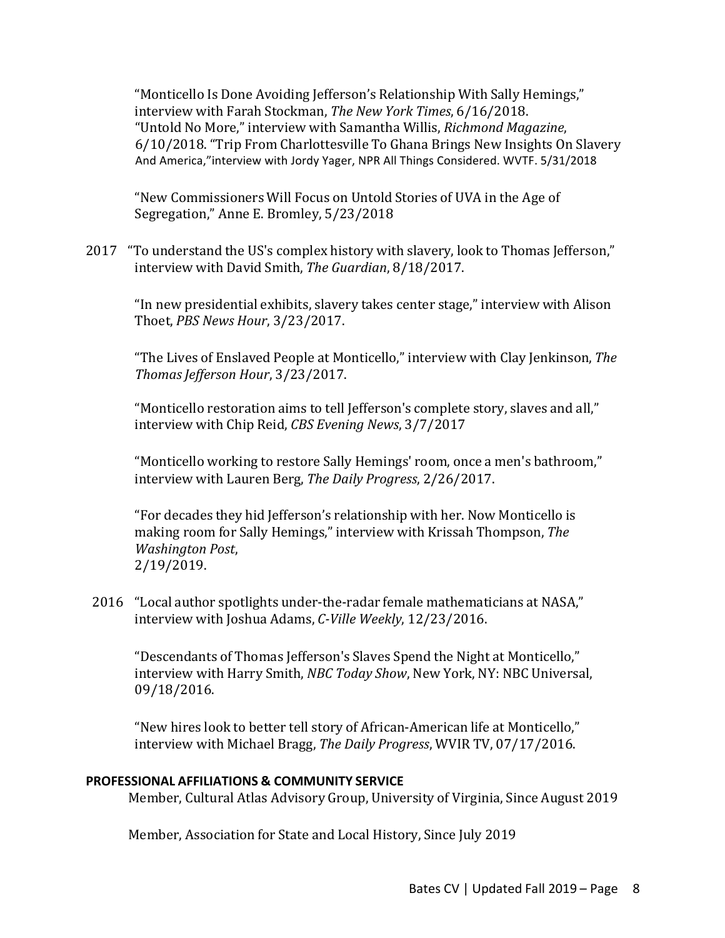"Monticello Is Done Avoiding Jefferson's Relationship With Sally Hemings," interview with Farah Stockman, *The New York Times*, 6/16/2018. "Untold No More," interview with Samantha Willis, *Richmond Magazine*, 6/10/2018. "Trip From Charlottesville To Ghana Brings New Insights On Slavery And America,"interview with Jordy Yager, NPR All Things Considered. WVTF. 5/31/2018

"New Commissioners Will Focus on Untold Stories of UVA in the Age of Segregation," Anne E. Bromley, 5/23/2018

2017 "To understand the US's complex history with slavery, look to Thomas Jefferson," interview with David Smith, *The Guardian*, 8/18/2017.

"In new presidential exhibits, slavery takes center stage," interview with Alison Thoet, *PBS News Hour*, 3/23/2017.

"The Lives of Enslaved People at Monticello," interview with Clay Jenkinson, *The ThomasJefferson Hour*, 3/23/2017.

"Monticello restoration aims to tell Jefferson's complete story, slaves and all," interview with Chip Reid, *CBS Evening News*, 3/7/2017

"Monticello working to restore Sally Hemings' room, once a men's bathroom," interview with Lauren Berg, *The Daily Progress*, 2/26/2017.

"For decades they hid Jefferson's relationship with her. Now Monticello is making room for Sally Hemings," interview with Krissah Thompson, The *Washington Post*, 2/19/2019.

2016 "Local author spotlights under-the-radar female mathematicians at NASA," interview with Joshua Adams, *C-Ville Weekly*, 12/23/2016.

"Descendants of Thomas Jefferson's Slaves Spend the Night at Monticello," interview with Harry Smith, *NBC Today Show*, New York, NY: NBC Universal, 09/18/2016.

"New hires look to better tell story of African-American life at Monticello," interview with Michael Bragg, *The Daily Progress*, WVIR TV, 07/17/2016.

### **PROFESSIONAL AFFILIATIONS & COMMUNITY SERVICE**

Member, Cultural Atlas Advisory Group, University of Virginia, Since August 2019

Member, Association for State and Local History, Since July 2019